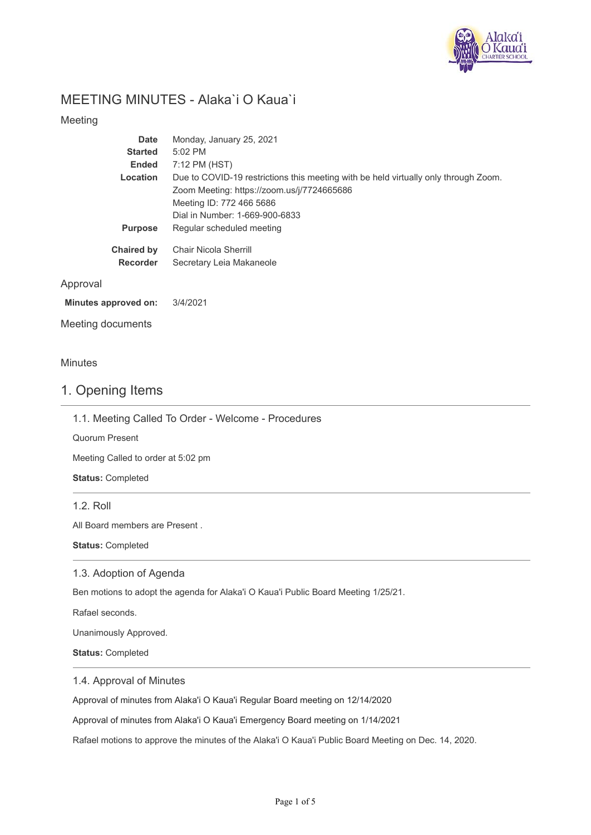

# MEETING MINUTES - Alaka`i O Kaua`i

### Meeting

|          | <b>Date</b>       | Monday, January 25, 2021                                                            |
|----------|-------------------|-------------------------------------------------------------------------------------|
|          | <b>Started</b>    | 5:02 PM                                                                             |
|          | <b>Ended</b>      | 7:12 PM (HST)                                                                       |
|          | Location          | Due to COVID-19 restrictions this meeting with be held virtually only through Zoom. |
|          |                   | Zoom Meeting: https://zoom.us/j/7724665686                                          |
|          |                   | Meeting ID: 772 466 5686                                                            |
|          |                   | Dial in Number: 1-669-900-6833                                                      |
|          | <b>Purpose</b>    | Regular scheduled meeting                                                           |
|          | <b>Chaired by</b> | Chair Nicola Sherrill                                                               |
|          | <b>Recorder</b>   | Secretary Leia Makaneole                                                            |
| Approval |                   |                                                                                     |
|          |                   |                                                                                     |

#### **Minutes approved on:** 3/4/2021

Meeting documents

### Minutes

### 1. Opening Items

1.1. Meeting Called To Order - Welcome - Procedures

Quorum Present

Meeting Called to order at 5:02 pm

**Status:** Completed

1.2. Roll

All Board members are Present .

**Status:** Completed

### 1.3. Adoption of Agenda

Ben motions to adopt the agenda for Alaka'i O Kaua'i Public Board Meeting 1/25/21.

Rafael seconds.

Unanimously Approved.

**Status:** Completed

### 1.4. Approval of Minutes

Approval of minutes from Alaka'i O Kaua'i Regular Board meeting on 12/14/2020

Approval of minutes from Alaka'i O Kaua'i Emergency Board meeting on 1/14/2021

Rafael motions to approve the minutes of the Alaka'i O Kaua'i Public Board Meeting on Dec. 14, 2020.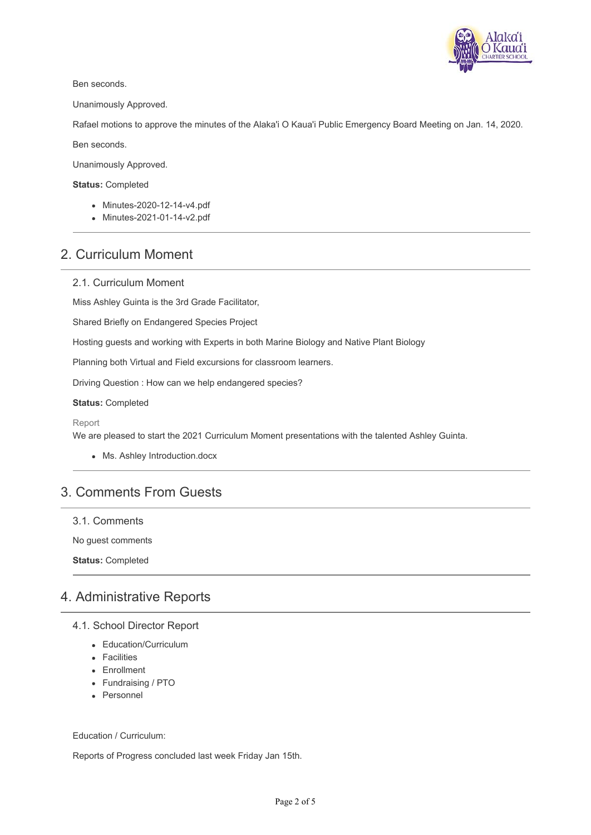

Ben seconds.

Unanimously Approved.

Rafael motions to approve the minutes of the Alaka'i O Kaua'i Public Emergency Board Meeting on Jan. 14, 2020.

Ben seconds.

Unanimously Approved.

#### **Status:** Completed

- Minutes-2020-12-14-v4.pdf
- Minutes-2021-01-14-v2.pdf

### 2. Curriculum Moment

### 2.1. Curriculum Moment

Miss Ashley Guinta is the 3rd Grade Facilitator,

Shared Briefly on Endangered Species Project

Hosting guests and working with Experts in both Marine Biology and Native Plant Biology

Planning both Virtual and Field excursions for classroom learners.

Driving Question : How can we help endangered species?

**Status:** Completed

#### Report

We are pleased to start the 2021 Curriculum Moment presentations with the talented Ashley Guinta.

Ms. Ashley Introduction.docx

## 3. Comments From Guests

3.1. Comments

No guest comments

**Status:** Completed

### 4. Administrative Reports

- 4.1. School Director Report
	- Education/Curriculum
	- Facilities
	- Enrollment
	- Fundraising / PTO
	- Personnel

Education / Curriculum:

Reports of Progress concluded last week Friday Jan 15th.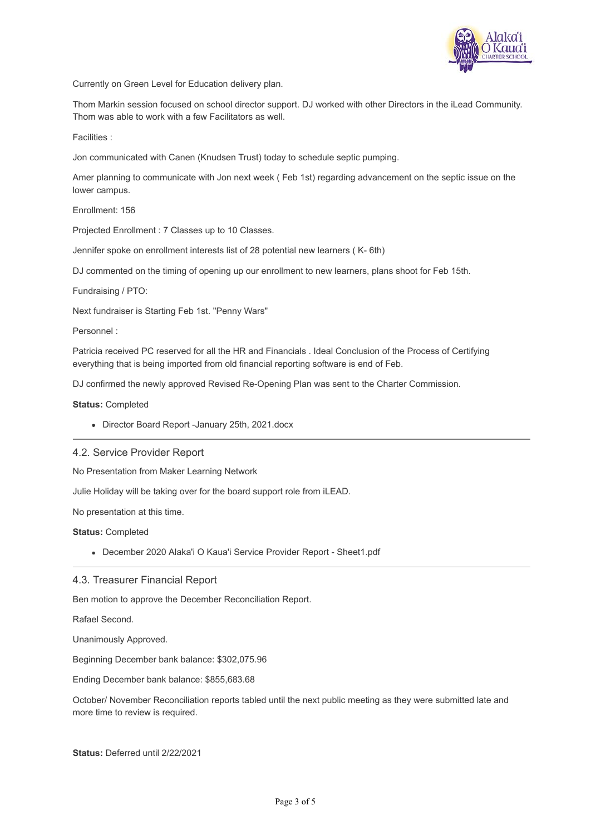

Currently on Green Level for Education delivery plan.

Thom Markin session focused on school director support. DJ worked with other Directors in the iLead Community. Thom was able to work with a few Facilitators as well.

Facilities :

Jon communicated with Canen (Knudsen Trust) today to schedule septic pumping.

Amer planning to communicate with Jon next week ( Feb 1st) regarding advancement on the septic issue on the lower campus.

Enrollment: 156

Projected Enrollment : 7 Classes up to 10 Classes.

Jennifer spoke on enrollment interests list of 28 potential new learners ( K- 6th)

DJ commented on the timing of opening up our enrollment to new learners, plans shoot for Feb 15th.

Fundraising / PTO:

Next fundraiser is Starting Feb 1st. "Penny Wars"

Personnel :

Patricia received PC reserved for all the HR and Financials . Ideal Conclusion of the Process of Certifying everything that is being imported from old financial reporting software is end of Feb.

DJ confirmed the newly approved Revised Re-Opening Plan was sent to the Charter Commission.

**Status:** Completed

Director Board Report -January 25th, 2021.docx

### 4.2. Service Provider Report

No Presentation from Maker Learning Network

Julie Holiday will be taking over for the board support role from iLEAD.

No presentation at this time.

**Status:** Completed

December 2020 Alaka'i O Kaua'i Service Provider Report - Sheet1.pdf

### 4.3. Treasurer Financial Report

Ben motion to approve the December Reconciliation Report.

Rafael Second.

Unanimously Approved.

Beginning December bank balance: \$302,075.96

Ending December bank balance: \$855,683.68

October/ November Reconciliation reports tabled until the next public meeting as they were submitted late and more time to review is required.

**Status:** Deferred until 2/22/2021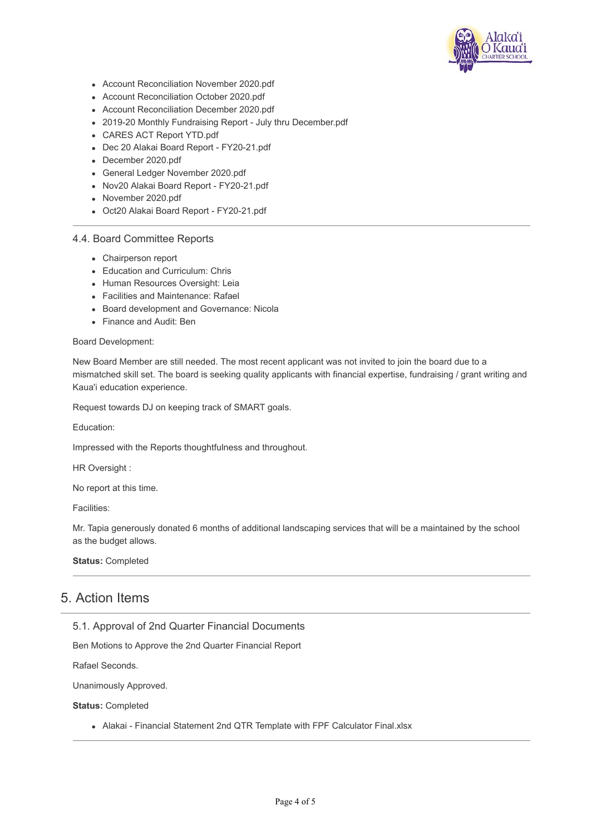

- Account Reconciliation November 2020.pdf
- Account Reconciliation October 2020.pdf
- Account Reconciliation December 2020.pdf
- 2019-20 Monthly Fundraising Report July thru December.pdf
- CARES ACT Report YTD.pdf
- Dec 20 Alakai Board Report FY20-21.pdf
- December 2020.pdf
- General Ledger November 2020.pdf
- Nov20 Alakai Board Report FY20-21.pdf
- November 2020.pdf
- Oct20 Alakai Board Report FY20-21.pdf

### 4.4. Board Committee Reports

- Chairperson report
- Education and Curriculum: Chris
- Human Resources Oversight: Leia
- Facilities and Maintenance: Rafael
- Board development and Governance: Nicola
- Finance and Audit: Ben

#### Board Development:

New Board Member are still needed. The most recent applicant was not invited to join the board due to a mismatched skill set. The board is seeking quality applicants with financial expertise, fundraising / grant writing and Kaua'i education experience.

Request towards DJ on keeping track of SMART goals.

Education:

Impressed with the Reports thoughtfulness and throughout.

HR Oversight :

No report at this time.

Facilities:

Mr. Tapia generously donated 6 months of additional landscaping services that will be a maintained by the school as the budget allows.

### **Status:** Completed

### 5. Action Items

### 5.1. Approval of 2nd Quarter Financial Documents

Ben Motions to Approve the 2nd Quarter Financial Report

Rafael Seconds.

Unanimously Approved.

**Status:** Completed

Alakai - Financial Statement 2nd QTR Template with FPF Calculator Final.xlsx